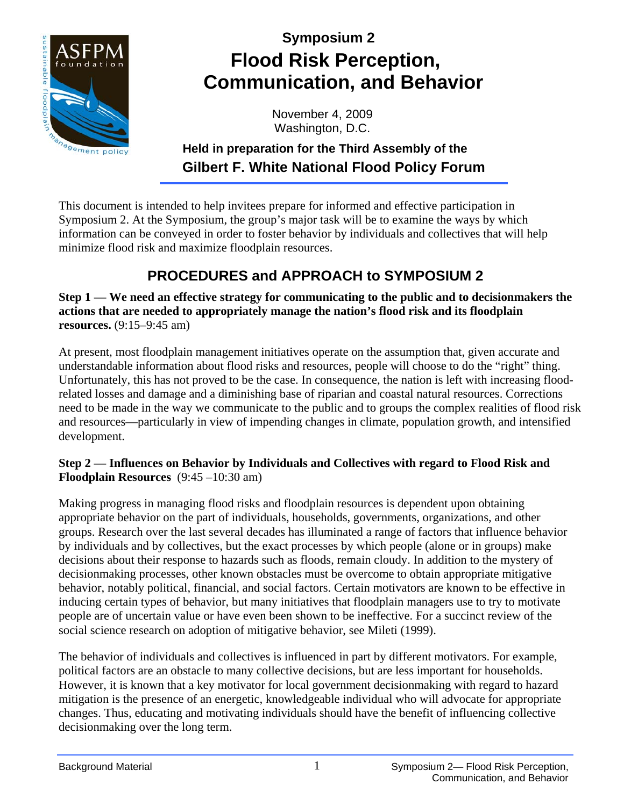

# **Symposium 2 Flood Risk Perception, Communication, and Behavior**

November 4, 2009 Washington, D.C.

### **Held in preparation for the Third Assembly of the Gilbert F. White National Flood Policy Forum**

This document is intended to help invitees prepare for informed and effective participation in Symposium 2. At the Symposium, the group's major task will be to examine the ways by which information can be conveyed in order to foster behavior by individuals and collectives that will help minimize flood risk and maximize floodplain resources.

## **PROCEDURES and APPROACH to SYMPOSIUM 2**

**Step 1 — We need an effective strategy for communicating to the public and to decisionmakers the actions that are needed to appropriately manage the nation's flood risk and its floodplain resources.** (9:15–9:45 am)

At present, most floodplain management initiatives operate on the assumption that, given accurate and understandable information about flood risks and resources, people will choose to do the "right" thing. Unfortunately, this has not proved to be the case. In consequence, the nation is left with increasing floodrelated losses and damage and a diminishing base of riparian and coastal natural resources. Corrections need to be made in the way we communicate to the public and to groups the complex realities of flood risk and resources—particularly in view of impending changes in climate, population growth, and intensified development.

#### **Step 2 — Influences on Behavior by Individuals and Collectives with regard to Flood Risk and Floodplain Resources** (9:45 –10:30 am)

Making progress in managing flood risks and floodplain resources is dependent upon obtaining appropriate behavior on the part of individuals, households, governments, organizations, and other groups. Research over the last several decades has illuminated a range of factors that influence behavior by individuals and by collectives, but the exact processes by which people (alone or in groups) make decisions about their response to hazards such as floods, remain cloudy. In addition to the mystery of decisionmaking processes, other known obstacles must be overcome to obtain appropriate mitigative behavior, notably political, financial, and social factors. Certain motivators are known to be effective in inducing certain types of behavior, but many initiatives that floodplain managers use to try to motivate people are of uncertain value or have even been shown to be ineffective. For a succinct review of the social science research on adoption of mitigative behavior, see Mileti (1999).

The behavior of individuals and collectives is influenced in part by different motivators. For example, political factors are an obstacle to many collective decisions, but are less important for households. However, it is known that a key motivator for local government decisionmaking with regard to hazard mitigation is the presence of an energetic, knowledgeable individual who will advocate for appropriate changes. Thus, educating and motivating individuals should have the benefit of influencing collective decisionmaking over the long term.

1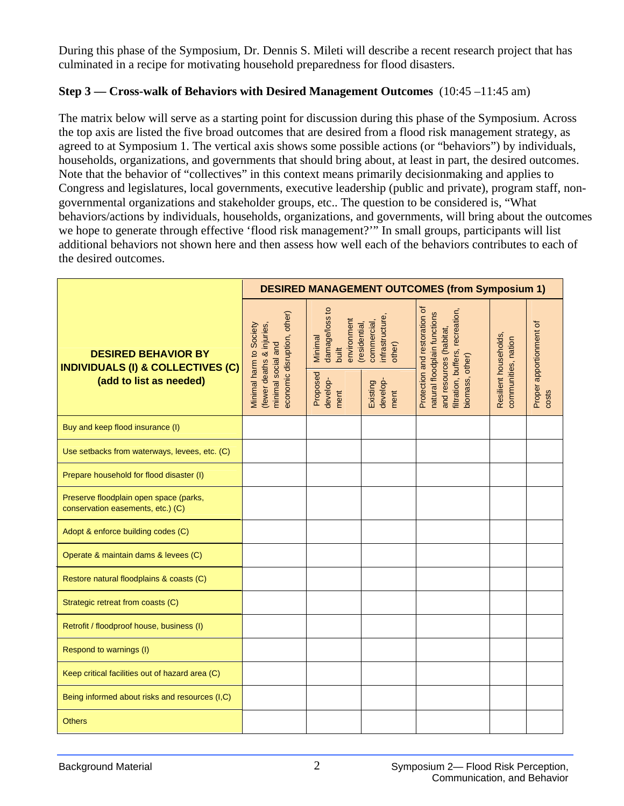During this phase of the Symposium, Dr. Dennis S. Mileti will describe a recent research project that has culminated in a recipe for motivating household preparedness for flood disasters.

#### **Step 3 — Cross-walk of Behaviors with Desired Management Outcomes** (10:45 –11:45 am)

The matrix below will serve as a starting point for discussion during this phase of the Symposium. Across the top axis are listed the five broad outcomes that are desired from a flood risk management strategy, as agreed to at Symposium 1. The vertical axis shows some possible actions (or "behaviors") by individuals, households, organizations, and governments that should bring about, at least in part, the desired outcomes. Note that the behavior of "collectives" in this context means primarily decisionmaking and applies to Congress and legislatures, local governments, executive leadership (public and private), program staff, nongovernmental organizations and stakeholder groups, etc.. The question to be considered is, "What behaviors/actions by individuals, households, organizations, and governments, will bring about the outcomes we hope to generate through effective 'flood risk management?'" In small groups, participants will list additional behaviors not shown here and then assess how well each of the behaviors contributes to each of the desired outcomes.

|                                                                                                       |                                                                                                           |                                                                                   |                                                                                           | <b>DESIRED MANAGEMENT OUTCOMES (from Symposium 1)</b>                                                                                              |                                              |                                  |
|-------------------------------------------------------------------------------------------------------|-----------------------------------------------------------------------------------------------------------|-----------------------------------------------------------------------------------|-------------------------------------------------------------------------------------------|----------------------------------------------------------------------------------------------------------------------------------------------------|----------------------------------------------|----------------------------------|
| <b>DESIRED BEHAVIOR BY</b><br><b>INDIVIDUALS (I) &amp; COLLECTIVES (C)</b><br>(add to list as needed) | economic disruption, other)<br>(fewer deaths & injuries,<br>Minimal harm to Society<br>minimal social and | damage/loss to<br>environment<br>Minimal<br>built<br>Proposed<br>develop-<br>ment | infrastructure,<br>commercial,<br>(residential,<br>other)<br>develop-<br>Existing<br>ment | Protection and restoration of<br>recreation,<br>natural floodplain functions<br>and resources (habitat,<br>filtration, buffers,<br>piomass, other) | Resilient households,<br>communities, nation | Proper apportionment of<br>costs |
| Buy and keep flood insurance (I)                                                                      |                                                                                                           |                                                                                   |                                                                                           |                                                                                                                                                    |                                              |                                  |
| Use setbacks from waterways, levees, etc. (C)                                                         |                                                                                                           |                                                                                   |                                                                                           |                                                                                                                                                    |                                              |                                  |
| Prepare household for flood disaster (I)                                                              |                                                                                                           |                                                                                   |                                                                                           |                                                                                                                                                    |                                              |                                  |
| Preserve floodplain open space (parks,<br>conservation easements, etc.) (C)                           |                                                                                                           |                                                                                   |                                                                                           |                                                                                                                                                    |                                              |                                  |
| Adopt & enforce building codes (C)                                                                    |                                                                                                           |                                                                                   |                                                                                           |                                                                                                                                                    |                                              |                                  |
| Operate & maintain dams & levees (C)                                                                  |                                                                                                           |                                                                                   |                                                                                           |                                                                                                                                                    |                                              |                                  |
| Restore natural floodplains & coasts (C)                                                              |                                                                                                           |                                                                                   |                                                                                           |                                                                                                                                                    |                                              |                                  |
| Strategic retreat from coasts (C)                                                                     |                                                                                                           |                                                                                   |                                                                                           |                                                                                                                                                    |                                              |                                  |
| Retrofit / floodproof house, business (I)                                                             |                                                                                                           |                                                                                   |                                                                                           |                                                                                                                                                    |                                              |                                  |
| Respond to warnings (I)                                                                               |                                                                                                           |                                                                                   |                                                                                           |                                                                                                                                                    |                                              |                                  |
| Keep critical facilities out of hazard area (C)                                                       |                                                                                                           |                                                                                   |                                                                                           |                                                                                                                                                    |                                              |                                  |
| Being informed about risks and resources (I,C)                                                        |                                                                                                           |                                                                                   |                                                                                           |                                                                                                                                                    |                                              |                                  |
| <b>Others</b>                                                                                         |                                                                                                           |                                                                                   |                                                                                           |                                                                                                                                                    |                                              |                                  |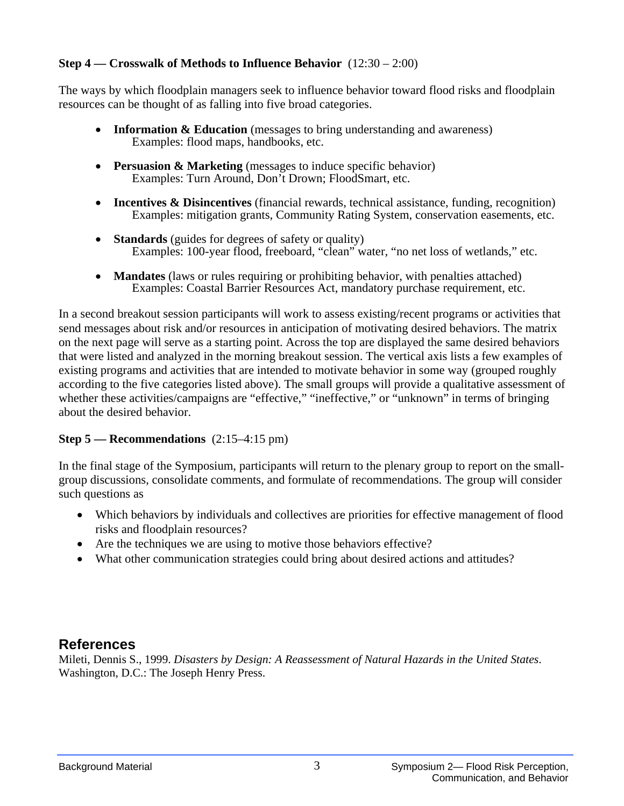#### **Step 4 — Crosswalk of Methods to Influence Behavior** (12:30 – 2:00)

The ways by which floodplain managers seek to influence behavior toward flood risks and floodplain resources can be thought of as falling into five broad categories.

- **Information & Education** (messages to bring understanding and awareness) Examples: flood maps, handbooks, etc.
- **Persuasion & Marketing** (messages to induce specific behavior) Examples: Turn Around, Don't Drown; FloodSmart, etc.
- **Incentives & Disincentives** (financial rewards, technical assistance, funding, recognition) Examples: mitigation grants, Community Rating System, conservation easements, etc.
- **Standards** (guides for degrees of safety or quality) Examples: 100-year flood, freeboard, "clean" water, "no net loss of wetlands," etc.
- **Mandates** (laws or rules requiring or prohibiting behavior, with penalties attached) Examples: Coastal Barrier Resources Act, mandatory purchase requirement, etc.

In a second breakout session participants will work to assess existing/recent programs or activities that send messages about risk and/or resources in anticipation of motivating desired behaviors. The matrix on the next page will serve as a starting point. Across the top are displayed the same desired behaviors that were listed and analyzed in the morning breakout session. The vertical axis lists a few examples of existing programs and activities that are intended to motivate behavior in some way (grouped roughly according to the five categories listed above). The small groups will provide a qualitative assessment of whether these activities/campaigns are "effective," "ineffective," or "unknown" in terms of bringing about the desired behavior.

#### **Step 5 — Recommendations** (2:15–4:15 pm)

In the final stage of the Symposium, participants will return to the plenary group to report on the smallgroup discussions, consolidate comments, and formulate of recommendations. The group will consider such questions as

- Which behaviors by individuals and collectives are priorities for effective management of flood risks and floodplain resources?
- Are the techniques we are using to motive those behaviors effective?
- What other communication strategies could bring about desired actions and attitudes?

### **References**

Mileti, Dennis S., 1999. *Disasters by Design: A Reassessment of Natural Hazards in the United States*. Washington, D.C.: The Joseph Henry Press.